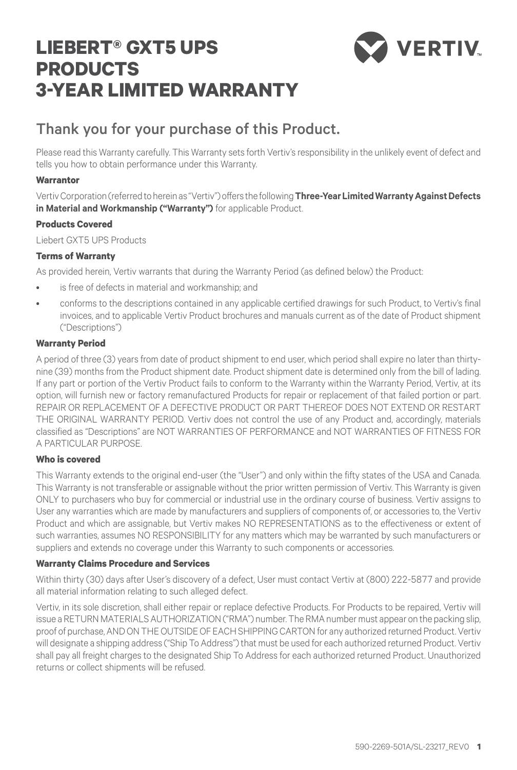# **LIEBERT® GXT5 UPS PRODUCTS 3-YEAR LIMITED WARRANTY**



# Thank you for your purchase of this Product.

Please read this Warranty carefully. This Warranty sets forth Vertiv's responsibility in the unlikely event of defect and tells you how to obtain performance under this Warranty.

#### **Warrantor**

Vertiv Corporation (referred to herein as "Vertiv") offers the following **Three-Year Limited Warranty Against Defects in Material and Workmanship ("Warranty")** for applicable Product.

# **Products Covered**

Liebert GXT5 UPS Products

#### **Terms of Warranty**

As provided herein, Vertiv warrants that during the Warranty Period (as defined below) the Product:

- is free of defects in material and workmanship; and
- conforms to the descriptions contained in any applicable certified drawings for such Product, to Vertiv's final invoices, and to applicable Vertiv Product brochures and manuals current as of the date of Product shipment ("Descriptions")

# **Warranty Period**

A period of three (3) years from date of product shipment to end user, which period shall expire no later than thirtynine (39) months from the Product shipment date. Product shipment date is determined only from the bill of lading. If any part or portion of the Vertiv Product fails to conform to the Warranty within the Warranty Period, Vertiv, at its option, will furnish new or factory remanufactured Products for repair or replacement of that failed portion or part. REPAIR OR REPLACEMENT OF A DEFECTIVE PRODUCT OR PART THEREOF DOES NOT EXTEND OR RESTART THE ORIGINAL WARRANTY PERIOD. Vertiv does not control the use of any Product and, accordingly, materials classified as "Descriptions" are NOT WARRANTIES OF PERFORMANCE and NOT WARRANTIES OF FITNESS FOR A PARTICULAR PURPOSE.

### **Who is covered**

This Warranty extends to the original end-user (the "User") and only within the fifty states of the USA and Canada. This Warranty is not transferable or assignable without the prior written permission of Vertiv. This Warranty is given ONLY to purchasers who buy for commercial or industrial use in the ordinary course of business. Vertiv assigns to User any warranties which are made by manufacturers and suppliers of components of, or accessories to, the Vertiv Product and which are assignable, but Vertiv makes NO REPRESENTATIONS as to the effectiveness or extent of such warranties, assumes NO RESPONSIBILITY for any matters which may be warranted by such manufacturers or suppliers and extends no coverage under this Warranty to such components or accessories.

# **Warranty Claims Procedure and Services**

Within thirty (30) days after User's discovery of a defect, User must contact Vertiv at (800) 222-5877 and provide all material information relating to such alleged defect.

Vertiv, in its sole discretion, shall either repair or replace defective Products. For Products to be repaired, Vertiv will issue a RETURN MATERIALS AUTHORIZATION ("RMA") number. The RMA number must appear on the packing slip, proof of purchase, AND ON THE OUTSIDE OF EACH SHIPPING CARTON for any authorized returned Product. Vertiv will designate a shipping address ("Ship To Address") that must be used for each authorized returned Product. Vertiv shall pay all freight charges to the designated Ship To Address for each authorized returned Product. Unauthorized returns or collect shipments will be refused.